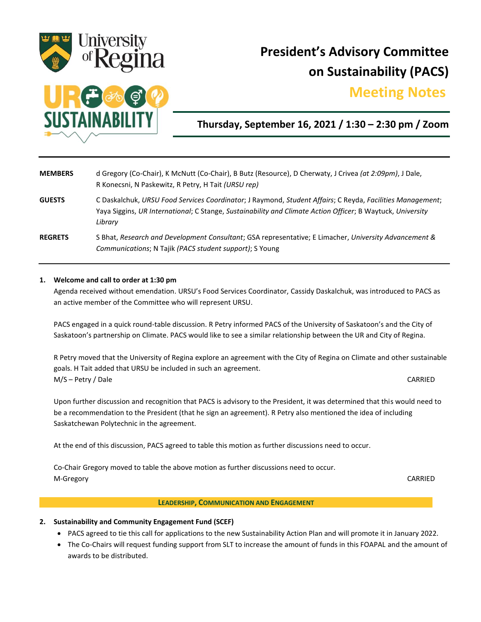

# **President's Advisory Committee on Sustainability (PACS)**

## **Meeting Notes.**



### **Thursday, September 16, 2021 / 1:30 – 2:30 pm / Zoom**

| <b>MEMBERS</b> | d Gregory (Co-Chair), K McNutt (Co-Chair), B Butz (Resource), D Cherwaty, J Crivea (at 2:09pm), J Dale,<br>R Konecsni, N Paskewitz, R Petry, H Tait (URSU rep)                                                                     |
|----------------|------------------------------------------------------------------------------------------------------------------------------------------------------------------------------------------------------------------------------------|
| <b>GUESTS</b>  | C Daskalchuk, URSU Food Services Coordinator; J Raymond, Student Affairs; C Reyda, Facilities Management;<br>Yaya Siggins, UR International; C Stange, Sustainability and Climate Action Officer; B Waytuck, University<br>Library |
| <b>REGRETS</b> | S Bhat, Research and Development Consultant; GSA representative; E Limacher, University Advancement &<br>Communications; N Tajik (PACS student support); S Young                                                                   |

#### **1. Welcome and call to order at 1:30 pm**

Agenda received without emendation. URSU's Food Services Coordinator, Cassidy Daskalchuk, was introduced to PACS as an active member of the Committee who will represent URSU.

PACS engaged in a quick round-table discussion. R Petry informed PACS of the University of Saskatoon's and the City of Saskatoon's partnership on Climate. PACS would like to see a similar relationship between the UR and City of Regina.

R Petry moved that the University of Regina explore an agreement with the City of Regina on Climate and other sustainable goals. H Tait added that URSU be included in such an agreement. M/S – Petry / Dale CARRIED

Upon further discussion and recognition that PACS is advisory to the President, it was determined that this would need to be a recommendation to the President (that he sign an agreement). R Petry also mentioned the idea of including Saskatchewan Polytechnic in the agreement.

At the end of this discussion, PACS agreed to table this motion as further discussions need to occur.

Co-Chair Gregory moved to table the above motion as further discussions need to occur. M-Gregory CARRIED

#### **LEADERSHIP, COMMUNICATION AND ENGAGEMENT**

- **2. Sustainability and Community Engagement Fund (SCEF)**
	- PACS agreed to tie this call for applications to the new Sustainability Action Plan and will promote it in January 2022.
	- The Co-Chairs will request funding support from SLT to increase the amount of funds in this FOAPAL and the amount of awards to be distributed.